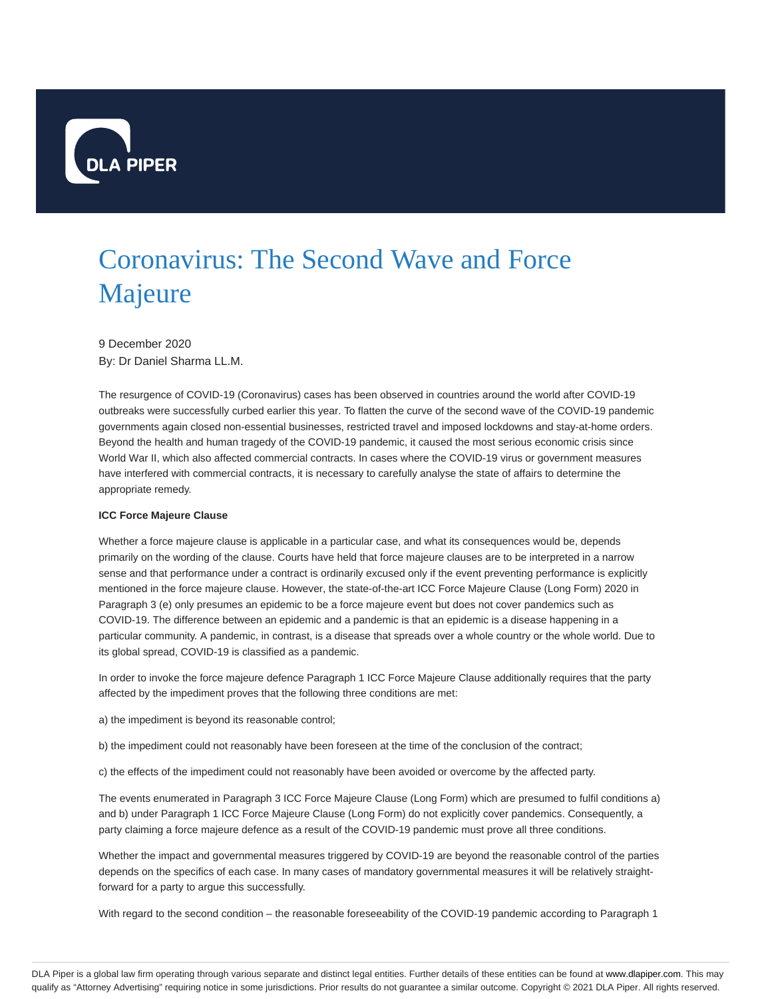

## Coronavirus: The Second Wave and Force Majeure

9 December 2020 By: Dr Daniel Sharma LL.M.

The resurgence of COVID-19 (Coronavirus) cases has been observed in countries around the world after COVID-19 outbreaks were successfully curbed earlier this year. To flatten the curve of the second wave of the COVID-19 pandemic governments again closed non-essential businesses, restricted travel and imposed lockdowns and stay-at-home orders. Beyond the health and human tragedy of the COVID-19 pandemic, it caused the most serious economic crisis since World War II, which also affected commercial contracts. In cases where the COVID-19 virus or government measures have interfered with commercial contracts, it is necessary to carefully analyse the state of affairs to determine the appropriate remedy.

## **ICC Force Majeure Clause**

Whether a force majeure clause is applicable in a particular case, and what its consequences would be, depends primarily on the wording of the clause. Courts have held that force majeure clauses are to be interpreted in a narrow sense and that performance under a contract is ordinarily excused only if the event preventing performance is explicitly mentioned in the force majeure clause. However, the state-of-the-art ICC Force Majeure Clause (Long Form) 2020 in Paragraph 3 (e) only presumes an epidemic to be a force majeure event but does not cover pandemics such as COVID-19. The difference between an epidemic and a pandemic is that an epidemic is a disease happening in a particular community. A pandemic, in contrast, is a disease that spreads over a whole country or the whole world. Due to its global spread, COVID-19 is classified as a pandemic.

In order to invoke the force majeure defence Paragraph 1 ICC Force Majeure Clause additionally requires that the party affected by the impediment proves that the following three conditions are met:

a) the impediment is beyond its reasonable control;

b) the impediment could not reasonably have been foreseen at the time of the conclusion of the contract;

c) the effects of the impediment could not reasonably have been avoided or overcome by the affected party.

The events enumerated in Paragraph 3 ICC Force Majeure Clause (Long Form) which are presumed to fulfil conditions a) and b) under Paragraph 1 ICC Force Majeure Clause (Long Form) do not explicitly cover pandemics. Consequently, a party claiming a force majeure defence as a result of the COVID-19 pandemic must prove all three conditions.

Whether the impact and governmental measures triggered by COVID-19 are beyond the reasonable control of the parties depends on the specifics of each case. In many cases of mandatory governmental measures it will be relatively straightforward for a party to argue this successfully.

With regard to the second condition – the reasonable foreseeability of the COVID-19 pandemic according to Paragraph 1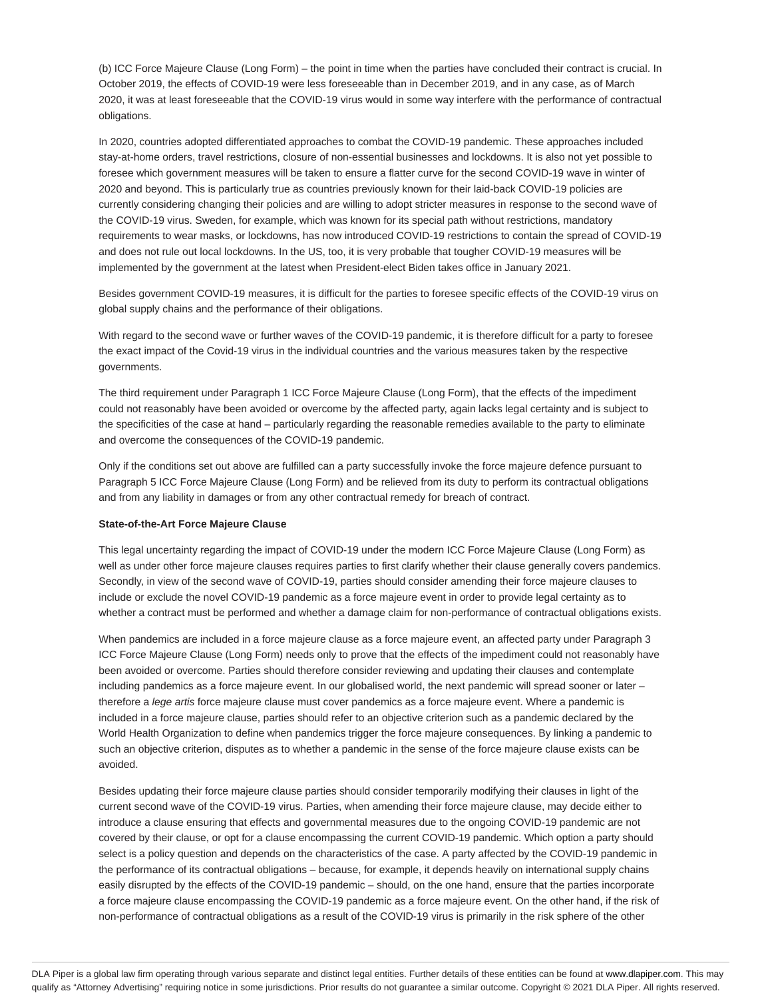(b) ICC Force Majeure Clause (Long Form) – the point in time when the parties have concluded their contract is crucial. In October 2019, the effects of COVID-19 were less foreseeable than in December 2019, and in any case, as of March 2020, it was at least foreseeable that the COVID-19 virus would in some way interfere with the performance of contractual obligations.

In 2020, countries adopted differentiated approaches to combat the COVID-19 pandemic. These approaches included stay-at-home orders, travel restrictions, closure of non-essential businesses and lockdowns. It is also not yet possible to foresee which government measures will be taken to ensure a flatter curve for the second COVID-19 wave in winter of 2020 and beyond. This is particularly true as countries previously known for their laid-back COVID-19 policies are currently considering changing their policies and are willing to adopt stricter measures in response to the second wave of the COVID-19 virus. Sweden, for example, which was known for its special path without restrictions, mandatory requirements to wear masks, or lockdowns, has now introduced COVID-19 restrictions to contain the spread of COVID-19 and does not rule out local lockdowns. In the US, too, it is very probable that tougher COVID-19 measures will be implemented by the government at the latest when President-elect Biden takes office in January 2021.

Besides government COVID-19 measures, it is difficult for the parties to foresee specific effects of the COVID-19 virus on global supply chains and the performance of their obligations.

With regard to the second wave or further waves of the COVID-19 pandemic, it is therefore difficult for a party to foresee the exact impact of the Covid-19 virus in the individual countries and the various measures taken by the respective governments.

The third requirement under Paragraph 1 ICC Force Majeure Clause (Long Form), that the effects of the impediment could not reasonably have been avoided or overcome by the affected party, again lacks legal certainty and is subject to the specificities of the case at hand – particularly regarding the reasonable remedies available to the party to eliminate and overcome the consequences of the COVID-19 pandemic.

Only if the conditions set out above are fulfilled can a party successfully invoke the force majeure defence pursuant to Paragraph 5 ICC Force Majeure Clause (Long Form) and be relieved from its duty to perform its contractual obligations and from any liability in damages or from any other contractual remedy for breach of contract.

## **State-of-the-Art Force Majeure Clause**

This legal uncertainty regarding the impact of COVID-19 under the modern ICC Force Majeure Clause (Long Form) as well as under other force majeure clauses requires parties to first clarify whether their clause generally covers pandemics. Secondly, in view of the second wave of COVID-19, parties should consider amending their force majeure clauses to include or exclude the novel COVID-19 pandemic as a force majeure event in order to provide legal certainty as to whether a contract must be performed and whether a damage claim for non-performance of contractual obligations exists.

When pandemics are included in a force majeure clause as a force majeure event, an affected party under Paragraph 3 ICC Force Majeure Clause (Long Form) needs only to prove that the effects of the impediment could not reasonably have been avoided or overcome. Parties should therefore consider reviewing and updating their clauses and contemplate including pandemics as a force majeure event. In our globalised world, the next pandemic will spread sooner or later – therefore a lege artis force majeure clause must cover pandemics as a force majeure event. Where a pandemic is included in a force majeure clause, parties should refer to an objective criterion such as a pandemic declared by the World Health Organization to define when pandemics trigger the force majeure consequences. By linking a pandemic to such an objective criterion, disputes as to whether a pandemic in the sense of the force majeure clause exists can be avoided.

Besides updating their force majeure clause parties should consider temporarily modifying their clauses in light of the current second wave of the COVID-19 virus. Parties, when amending their force majeure clause, may decide either to introduce a clause ensuring that effects and governmental measures due to the ongoing COVID-19 pandemic are not covered by their clause, or opt for a clause encompassing the current COVID-19 pandemic. Which option a party should select is a policy question and depends on the characteristics of the case. A party affected by the COVID-19 pandemic in the performance of its contractual obligations – because, for example, it depends heavily on international supply chains easily disrupted by the effects of the COVID-19 pandemic – should, on the one hand, ensure that the parties incorporate a force majeure clause encompassing the COVID-19 pandemic as a force majeure event. On the other hand, if the risk of non-performance of contractual obligations as a result of the COVID-19 virus is primarily in the risk sphere of the other